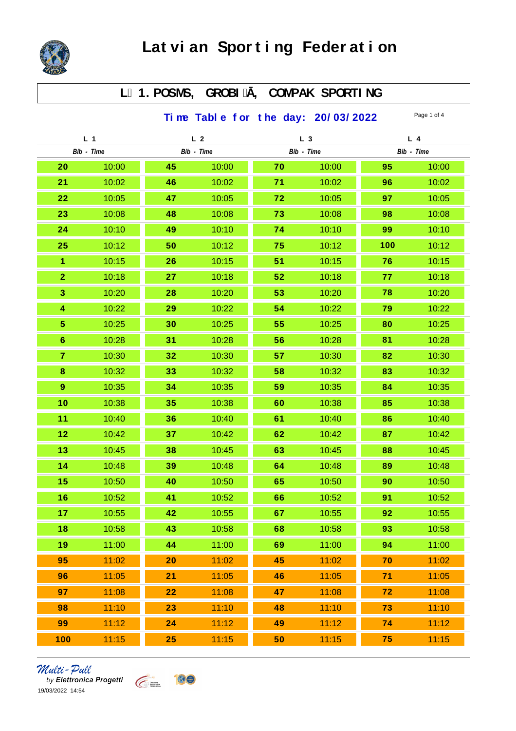

## L 1. POSMS, GROBI, COMPAK SPORTING

Time Table for the day:  $20/03/2022$  Page 1 of 4

| L <sub>1</sub> |       | L <sub>2</sub> |       | L <sub>3</sub> |       | $L$ 4      |       |
|----------------|-------|----------------|-------|----------------|-------|------------|-------|
| Bib - Time     |       | Bib - Time     |       | Bib - Time     |       | Bib - Time |       |
| 20             | 10:00 | 45             | 10:00 | 70             | 10:00 | 95         | 10:00 |
| 21             | 10:02 | 46             | 10:02 | 71             | 10:02 | 96         | 10:02 |
| 22             | 10:05 | 47             | 10:05 | 72             | 10:05 | 97         | 10:05 |
| 23             | 10:08 | 48             | 10:08 | 73             | 10:08 | 98         | 10:08 |
| 24             | 10:10 | 49             | 10:10 | 74             | 10:10 | 99         | 10:10 |
| 25             | 10:12 | 50             | 10:12 | 75             | 10:12 | 100        | 10:12 |
| $\mathbf{1}$   | 10:15 | 26             | 10:15 | 51             | 10:15 | 76         | 10:15 |
| $\overline{2}$ | 10:18 | 27             | 10:18 | 52             | 10:18 | 77         | 10:18 |
| 3              | 10:20 | 28             | 10:20 | 53             | 10:20 | 78         | 10:20 |
| $\overline{4}$ | 10:22 | 29             | 10:22 | 54             | 10:22 | 79         | 10:22 |
| $\overline{5}$ | 10:25 | 30             | 10:25 | 55             | 10:25 | 80         | 10:25 |
| $6\phantom{1}$ | 10:28 | 31             | 10:28 | 56             | 10:28 | 81         | 10:28 |
| $\mathbf{7}$   | 10:30 | 32             | 10:30 | 57             | 10:30 | 82         | 10:30 |
| 8              | 10:32 | 33             | 10:32 | 58             | 10:32 | 83         | 10:32 |
| $\overline{9}$ | 10:35 | 34             | 10:35 | 59             | 10:35 | 84         | 10:35 |
| 10             | 10:38 | 35             | 10:38 | 60             | 10:38 | 85         | 10:38 |
| 11             | 10:40 | 36             | 10:40 | 61             | 10:40 | 86         | 10:40 |
| 12             | 10:42 | 37             | 10:42 | 62             | 10:42 | 87         | 10:42 |
| 13             | 10:45 | 38             | 10:45 | 63             | 10:45 | 88         | 10:45 |
| 14             | 10:48 | 39             | 10:48 | 64             | 10:48 | 89         | 10:48 |
| 15             | 10:50 | 40             | 10:50 | 65             | 10:50 | 90         | 10:50 |
| 16             | 10:52 | 41             | 10:52 | 66             | 10:52 | 91         | 10:52 |
| 17             | 10:55 | 42             | 10:55 | 67             | 10:55 | 92         | 10:55 |
| 18             | 10:58 | 43             | 10:58 | 68             | 10:58 | 93         | 10:58 |
| 19             | 11:00 | 44             | 11:00 | 69             | 11:00 | 94         | 11:00 |
| 95             | 11:02 | 20             | 11:02 | 45             | 11:02 | 70         | 11:02 |
| 96             | 11:05 | 21             | 11:05 | 46             | 11:05 | 71         | 11:05 |
| 97             | 11:08 | 22             | 11:08 | 47             | 11:08 | 72         | 11:08 |
| 98             | 11:10 | 23             | 11:10 | 48             | 11:10 | 73         | 11:10 |
| 99             | 11:12 | 24             | 11:12 | 49             | 11:12 | 74         | 11:12 |
| 100            | 11:15 | 25             | 11:15 | 50             | 11:15 | 75         | 11:15 |

*Multi - Pull*<br>by Elettronica Progetti<br>19/03/2022 14:54

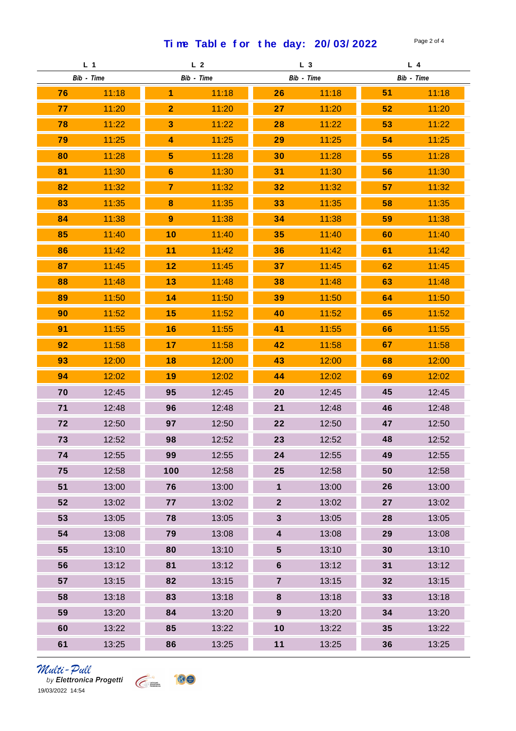Time Table for the day:  $20/03/2022$  Page 2 of 4

| L <sub>1</sub> |       | L <sub>2</sub> |       | L <sub>3</sub> |       | $L$ 4      |       |
|----------------|-------|----------------|-------|----------------|-------|------------|-------|
| Bib - Time     |       | Bib - Time     |       | Bib - Time     |       | Bib - Time |       |
| 76             | 11:18 | 1              | 11:18 | 26             | 11:18 | 51         | 11:18 |
| 77             | 11:20 | $\overline{2}$ | 11:20 | 27             | 11:20 | 52         | 11:20 |
| 78             | 11:22 | 3              | 11:22 | 28             | 11:22 | 53         | 11:22 |
| 79             | 11:25 | 4              | 11:25 | 29             | 11:25 | 54         | 11:25 |
| 80             | 11:28 | 5              | 11:28 | 30             | 11:28 | 55         | 11:28 |
| 81             | 11:30 | $6\phantom{1}$ | 11:30 | 31             | 11:30 | 56         | 11:30 |
| 82             | 11:32 | $\overline{7}$ | 11:32 | 32             | 11:32 | 57         | 11:32 |
| 83             | 11:35 | 8              | 11:35 | 33             | 11:35 | 58         | 11:35 |
| 84             | 11:38 | 9              | 11:38 | 34             | 11:38 | 59         | 11:38 |
| 85             | 11:40 | 10             | 11:40 | 35             | 11:40 | 60         | 11:40 |
| 86             | 11:42 | 11             | 11:42 | 36             | 11:42 | 61         | 11:42 |
| 87             | 11:45 | 12             | 11:45 | 37             | 11:45 | 62         | 11:45 |
| 88             | 11:48 | 13             | 11:48 | 38             | 11:48 | 63         | 11:48 |
| 89             | 11:50 | 14             | 11:50 | 39             | 11:50 | 64         | 11:50 |
| 90             | 11:52 | 15             | 11:52 | 40             | 11:52 | 65         | 11:52 |
| 91             | 11:55 | 16             | 11:55 | 41             | 11:55 | 66         | 11:55 |
| 92             | 11:58 | 17             | 11:58 | 42             | 11:58 | 67         | 11:58 |
| 93             | 12:00 | 18             | 12:00 | 43             | 12:00 | 68         | 12:00 |
| 94             | 12:02 | 19             | 12:02 | 44             | 12:02 | 69         | 12:02 |
| 70             | 12:45 | 95             | 12:45 | 20             | 12:45 | 45         | 12:45 |
| 71             | 12:48 | 96             | 12:48 | 21             | 12:48 | 46         | 12:48 |
| 72             | 12:50 | 97             | 12:50 | 22             | 12:50 | 47         | 12:50 |
| 73             | 12:52 | 98             | 12:52 | 23             | 12:52 | 48         | 12:52 |
| 74             | 12:55 | 99             | 12:55 | 24             | 12:55 | 49         | 12:55 |
| 75             | 12:58 | 100            | 12:58 | 25             | 12:58 | 50         | 12:58 |
| 51             | 13:00 | 76             | 13:00 | $\mathbf 1$    | 13:00 | 26         | 13:00 |
| 52             | 13:02 | 77             | 13:02 | $\overline{2}$ | 13:02 | 27         | 13:02 |
| 53             | 13:05 | 78             | 13:05 | 3              | 13:05 | 28         | 13:05 |
| 54             | 13:08 | 79             | 13:08 | $\overline{4}$ | 13:08 | 29         | 13:08 |
| 55             | 13:10 | 80             | 13:10 | 5              | 13:10 | 30         | 13:10 |
| 56             | 13:12 | 81             | 13:12 | $6\phantom{.}$ | 13:12 | 31         | 13:12 |
| 57             | 13:15 | 82             | 13:15 | $\overline{7}$ | 13:15 | 32         | 13:15 |
| 58             | 13:18 | 83             | 13:18 | $\bf{8}$       | 13:18 | 33         | 13:18 |
| 59             | 13:20 | 84             | 13:20 | $9\phantom{.}$ | 13:20 | 34         | 13:20 |
| 60             | 13:22 | 85             | 13:22 | 10             | 13:22 | 35         | 13:22 |
| 61             | 13:25 | 86             | 13:25 | $11$           | 13:25 | 36         | 13:25 |

## *Multi - Pull*<br>by Elettronica Progetti<br>19/03/2022 14:54

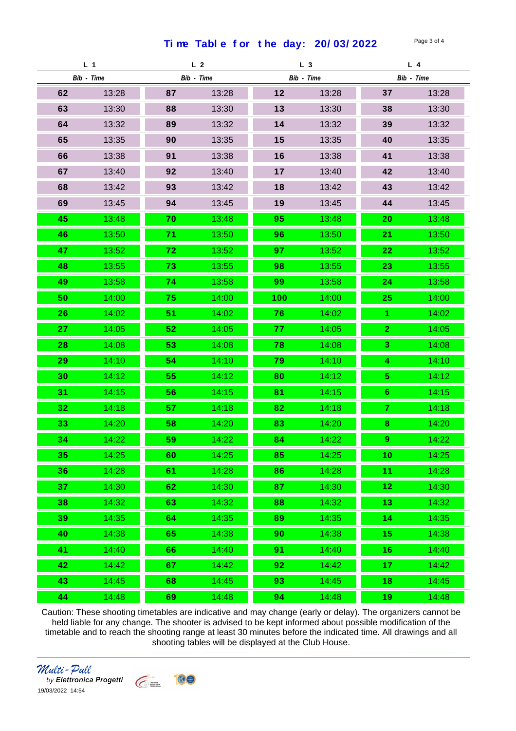Time Table for the day: 20/03/2022 Page 3 of 4

| L <sub>1</sub> |       | L <sub>2</sub> |       | L <sub>3</sub> |       | $L$ 4          |       |
|----------------|-------|----------------|-------|----------------|-------|----------------|-------|
| Bib - Time     |       | Bib - Time     |       | Bib - Time     |       | Bib - Time     |       |
| 62             | 13:28 | 87             | 13:28 | 12             | 13:28 | 37             | 13:28 |
| 63             | 13:30 | 88             | 13:30 | 13             | 13:30 | 38             | 13:30 |
| 64             | 13:32 | 89             | 13:32 | 14             | 13:32 | 39             | 13:32 |
| 65             | 13:35 | 90             | 13:35 | 15             | 13:35 | 40             | 13:35 |
| 66             | 13:38 | 91             | 13:38 | 16             | 13:38 | 41             | 13:38 |
| 67             | 13:40 | 92             | 13:40 | 17             | 13:40 | 42             | 13:40 |
| 68             | 13:42 | 93             | 13:42 | 18             | 13:42 | 43             | 13:42 |
| 69             | 13:45 | 94             | 13:45 | 19             | 13:45 | 44             | 13:45 |
| 45             | 13:48 | 70             | 13:48 | 95             | 13:48 | 20             | 13:48 |
| 46             | 13:50 | 71             | 13:50 | 96             | 13:50 | 21             | 13:50 |
| 47             | 13:52 | 72             | 13:52 | 97             | 13:52 | 22             | 13:52 |
| 48             | 13:55 | 73             | 13:55 | 98             | 13:55 | 23             | 13:55 |
| 49             | 13:58 | 74             | 13:58 | 99             | 13:58 | 24             | 13:58 |
| 50             | 14:00 | 75             | 14:00 | 100            | 14:00 | 25             | 14:00 |
| 26             | 14:02 | 51             | 14:02 | 76             | 14:02 |                | 14:02 |
| 27             | 14:05 | 52             | 14:05 | 77             | 14:05 | $\overline{2}$ | 14:05 |
| 28             | 14:08 | 53             | 14:08 | 78             | 14:08 | 3              | 14:08 |
| 29             | 14:10 | 54             | 14:10 | 79             | 14:10 | 4              | 14:10 |
| 30             | 14:12 | 55             | 14:12 | 80             | 14:12 | 5              | 14:12 |
| 31             | 14:15 | 56             | 14:15 | 81             | 14:15 | 6 <sup>°</sup> | 14:15 |
| 32             | 14:18 | 57             | 14:18 | 82             | 14:18 | 7              | 14:18 |
| 33             | 14:20 | 58             | 14:20 | 83             | 14:20 | 8              | 14:20 |
| 34             | 14:22 | 59             | 14:22 | 84             | 14:22 | 9              | 14:22 |
| 35             | 14:25 | 60             | 14:25 | 85             | 14:25 | 10             | 14:25 |
| 36             | 14:28 | 61             | 14:28 | 86             | 14:28 | 11             | 14:28 |
| 37             | 14:30 | 62             | 14:30 | 87             | 14:30 | 12             | 14:30 |
| 38             | 14:32 | 63             | 14:32 | 88             | 14:32 | 13             | 14:32 |
| 39             | 14:35 | 64             | 14:35 | 89             | 14:35 | 14             | 14:35 |
| 40             | 14:38 | 65             | 14:38 | 90             | 14:38 | 15             | 14:38 |
| 41             | 14:40 | 66             | 14:40 | 91             | 14:40 | 16             | 14:40 |
| 42             | 14:42 | 67             | 14:42 | 92             | 14:42 | 17             | 14:42 |
| 43             | 14:45 | 68             | 14:45 | 93             | 14:45 | 18             | 14:45 |
| 44             | 14:48 | 69             | 14:48 | 94             | 14:48 | 19             | 14:48 |

Caution: These shooting timetables are indicative and may change (early or delay). The organizers cannot be held liable for any change. The shooter is advised to be kept informed about possible modification of the timetable and to reach the shooting range at least 30 minutes before the indicated time. All drawings and all shooting tables will be displayed at the Club House.

Round 1 Round 2 Round 3 Round 4 Round 5 Round 6 Round 7 Round 8